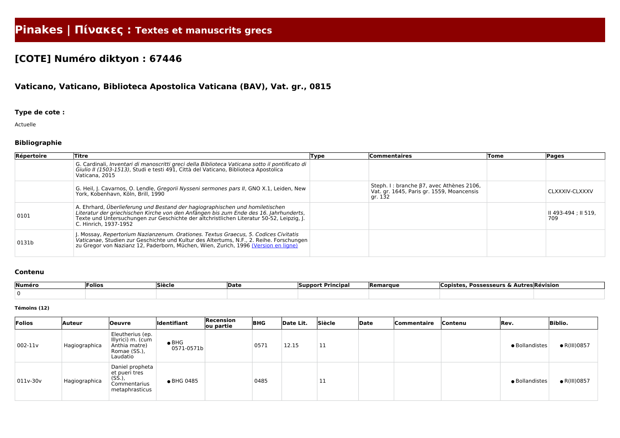# **Pinakes | Πίνακες : Textes et manuscrits grecs**

# **[COTE] Numéro diktyon : 67446**

## **Vaticano, Vaticano, Biblioteca Apostolica Vaticana (BAV), Vat. gr., 0815**

### **Type de cote :**

Actuelle

### **Bibliographie**

| Répertoire | Titre                                                                                                                                                                                                                                                                                      | Type | <b>Commentaires</b>                                                                                      | Tome | <b>Pages</b>                |
|------------|--------------------------------------------------------------------------------------------------------------------------------------------------------------------------------------------------------------------------------------------------------------------------------------------|------|----------------------------------------------------------------------------------------------------------|------|-----------------------------|
|            | G. Cardinali, Inventari di manoscritti greci della Biblioteca Vaticana sotto il pontificato di<br>Giulio II (1503-1513), Studi e testi 491, Città del Vaticano, Biblioteca Apostolica<br>Vaticana, 2015                                                                                    |      |                                                                                                          |      |                             |
|            | G. Heil, J. Cavarnos, O. Lendle, Gregorii Nysseni sermones pars II, GNO X.1, Leiden, New<br>York, Kobenhavn, Köln, Brill, 1990                                                                                                                                                             |      | Steph. I : branche $\beta$ 7, avec Athènes 2106,<br>Vat. gr. 1645, Paris gr. 1559, Moancensis<br>gr. 132 |      | CLXXXIV-CLXXXV              |
| 0101       | A. Ehrhard, Überlieferung und Bestand der hagiographischen und homiletischen<br>Literatur der griechischen Kirche von den Anfängen bis zum Ende des 16. Jahrhunderts,<br>Texte und Untersuchungen zur Geschichte der altchristlichen Literatur 50-52, Leipzig, J.<br>C. Hinrich, 1937-1952 |      |                                                                                                          |      | II 493-494 ; II 519,<br>709 |
| 0131b      | . Mossay, Repertorium Nazianzenum. Orationes. Textus Graecus, 5. Codices Civitatis<br>Vaticanae, Studien zur Geschichte und Kultur des Altertums, N.F., 2. Reihe. Forschungen<br>zu Gregor von Nazianz 12, Paderborn, Müchen, Wien, Zurich, 1996 (Version en ligne)                        |      |                                                                                                          |      |                             |

#### **Contenu**

| Numéro | Folios | Siècle | <b>Date</b> | <b>Support Principal</b> | <b>Remarque</b> | <b>Possesseurs &amp; Au</b><br>CODISTES | `utres Révision |
|--------|--------|--------|-------------|--------------------------|-----------------|-----------------------------------------|-----------------|
|        |        |        |             |                          |                 |                                         |                 |

#### **Témoins (12)**

| Folios   | Auteur        | Oeuvre                                                                             | <b>Identifiant</b>          | Recension<br>ou partie | <b>BHG</b> | Date Lit. | Siècle | Date | Commentaire | Contenu | Rev.           | <b>Biblio.</b>       |
|----------|---------------|------------------------------------------------------------------------------------|-----------------------------|------------------------|------------|-----------|--------|------|-------------|---------|----------------|----------------------|
| 002-11v  | Hagiographica | Eleutherius (ep.<br>Illyrici) m. (cum<br>Anthia matre)<br>Romae (SS.),<br>Laudatio | $\bullet$ BHG<br>0571-0571b |                        | 0571       | 12.15     | 11     |      |             |         | · Bollandistes | $\bullet$ R(III)0857 |
| 011v-30v | Hagiographica | Daniel propheta<br>et pueri tres<br>(SS.),<br>Commentarius<br>metaphrasticus       | • BHG 0485                  |                        | 0485       |           | 11     |      |             |         | · Bollandistes | $\bullet$ R(III)0857 |